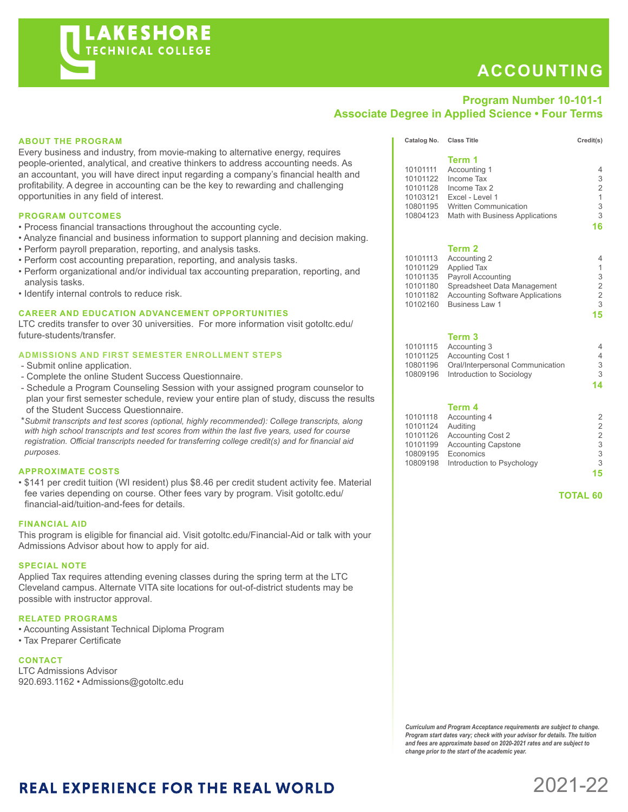# **ACCOUNTING**

### **Program Number 10-101-1 Associate Degree in Applied Science • Four Terms**

#### **ABOUT THE PROGRAM**

Every business and industry, from movie-making to alternative energy, requires people-oriented, analytical, and creative thinkers to address accounting needs. As an accountant, you will have direct input regarding a company's financial health and profitability. A degree in accounting can be the key to rewarding and challenging opportunities in any field of interest.

#### **PROGRAM OUTCOMES**

- Process financial transactions throughout the accounting cycle.
- Analyze financial and business information to support planning and decision making.
- Perform payroll preparation, reporting, and analysis tasks.
- Perform cost accounting preparation, reporting, and analysis tasks.
- Perform organizational and/or individual tax accounting preparation, reporting, and analysis tasks.
- Identify internal controls to reduce risk.

#### **CAREER AND EDUCATION ADVANCEMENT OPPORTUNITIES**

LTC credits transfer to over 30 universities. For more information visit gotoltc.edu/ future-students/transfer.

#### **ADMISSIONS AND FIRST SEMESTER ENROLLMENT STEPS**

- Submit online application.
- Complete the online Student Success Questionnaire.
- Schedule a Program Counseling Session with your assigned program counselor to plan your first semester schedule, review your entire plan of study, discuss the results of the Student Success Questionnaire.
- \**Submit transcripts and test scores (optional, highly recommended): College transcripts, along with high school transcripts and test scores from within the last five years, used for course registration. Official transcripts needed for transferring college credit(s) and for financial aid purposes.*

#### **APPROXIMATE COSTS**

• \$141 per credit tuition (WI resident) plus \$8.46 per credit student activity fee. Material fee varies depending on course. Other fees vary by program. Visit gotoltc.edu/ financial-aid/tuition-and-fees for details.

#### **FINANCIAL AID**

This program is eligible for financial aid. Visit gotoltc.edu/Financial-Aid or talk with your Admissions Advisor about how to apply for aid.

#### **SPECIAL NOTE**

Applied Tax requires attending evening classes during the spring term at the LTC Cleveland campus. Alternate VITA site locations for out-of-district students may be possible with instructor approval.

#### **RELATED PROGRAMS**

- Accounting Assistant Technical Diploma Program
- Tax Preparer Certificate

#### **CONTACT**

LTC Admissions Advisor 920.693.1162 • Admissions@gotoltc.edu

|          | Term 1                                  |             |
|----------|-----------------------------------------|-------------|
| 10101111 | Accounting 1                            | 4           |
| 10101122 | Income Tax                              | 3           |
| 10101128 | Income Tax 2                            | 2           |
| 10103121 | Excel - Level 1                         | $\mathbf 1$ |
| 10801195 | <b>Written Communication</b>            | 3           |
| 10804123 | Math with Business Applications         | 3           |
|          |                                         | 16          |
|          |                                         |             |
|          | Term 2                                  |             |
| 10101113 | Accounting 2                            | 4           |
| 10101129 | <b>Applied Tax</b>                      | 1           |
| 10101135 | <b>Payroll Accounting</b>               | 3           |
| 10101180 | Spreadsheet Data Management             | 2           |
| 10101182 | <b>Accounting Software Applications</b> | 2           |
| 10102160 | <b>Business Law 1</b>                   | 3           |
|          |                                         | 15          |
|          |                                         |             |

Catalog No. Class Title Credit(s)

#### **Term 3**

|          | 10101115 Accounting 3              |   |
|----------|------------------------------------|---|
| 10101125 | <b>Accounting Cost 1</b>           | 4 |
| 10801196 | Oral/Interpersonal Communication   | 3 |
|          | 10809196 Introduction to Sociology | 3 |
|          |                                    |   |

**14**

#### **Term 4**

|          | 10101118 Accounting 4               | 2  |
|----------|-------------------------------------|----|
| 10101124 | Auditing                            | 2  |
| 10101126 | <b>Accounting Cost 2</b>            | 2  |
| 10101199 | <b>Accounting Capstone</b>          | 3  |
| 10809195 | Economics                           | 3  |
|          | 10809198 Introduction to Psychology | 3  |
|          |                                     | 15 |
|          |                                     |    |

 **TOTAL 60**

*Curriculum and Program Acceptance requirements are subject to change. Program start dates vary; check with your advisor for details. The tuition and fees are approximate based on 2020-2021 rates and are subject to change prior to the start of the academic year.* 

## **REAL EXPERIENCE FOR THE REAL WORLD**